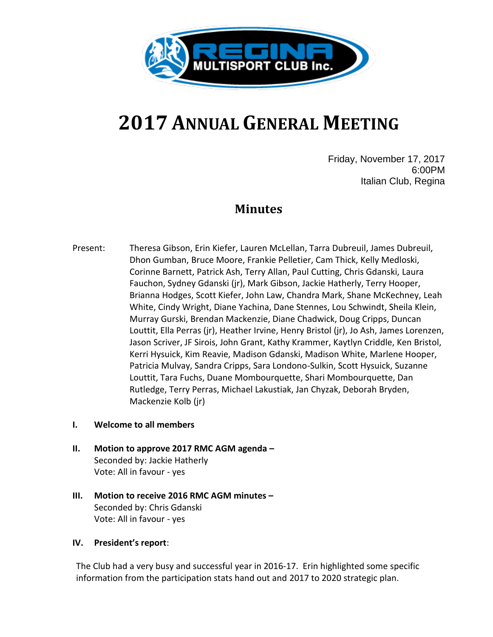

# **2017 ANNUAL GENERAL MEETING**

Friday, November 17, 2017 6:00PM Italian Club, Regina

# **Minutes**

Present: Theresa Gibson, Erin Kiefer, Lauren McLellan, Tarra Dubreuil, James Dubreuil, Dhon Gumban, Bruce Moore, Frankie Pelletier, Cam Thick, Kelly Medloski, Corinne Barnett, Patrick Ash, Terry Allan, Paul Cutting, Chris Gdanski, Laura Fauchon, Sydney Gdanski (jr), Mark Gibson, Jackie Hatherly, Terry Hooper, Brianna Hodges, Scott Kiefer, John Law, Chandra Mark, Shane McKechney, Leah White, Cindy Wright, Diane Yachina, Dane Stennes, Lou Schwindt, Sheila Klein, Murray Gurski, Brendan Mackenzie, Diane Chadwick, Doug Cripps, Duncan Louttit, Ella Perras (jr), Heather Irvine, Henry Bristol (jr), Jo Ash, James Lorenzen, Jason Scriver, JF Sirois, John Grant, Kathy Krammer, Kaytlyn Criddle, Ken Bristol, Kerri Hysuick, Kim Reavie, Madison Gdanski, Madison White, Marlene Hooper, Patricia Mulvay, Sandra Cripps, Sara Londono-Sulkin, Scott Hysuick, Suzanne Louttit, Tara Fuchs, Duane Mombourquette, Shari Mombourquette, Dan Rutledge, Terry Perras, Michael Lakustiak, Jan Chyzak, Deborah Bryden, Mackenzie Kolb (jr)

# **I. Welcome to all members**

- **II. Motion to approve 2017 RMC AGM agenda –** Seconded by: Jackie Hatherly Vote: All in favour - yes
- **III. Motion to receive 2016 RMC AGM minutes –** Seconded by: Chris Gdanski Vote: All in favour - yes

# **IV. President's report**:

The Club had a very busy and successful year in 2016-17. Erin highlighted some specific information from the participation stats hand out and 2017 to 2020 strategic plan.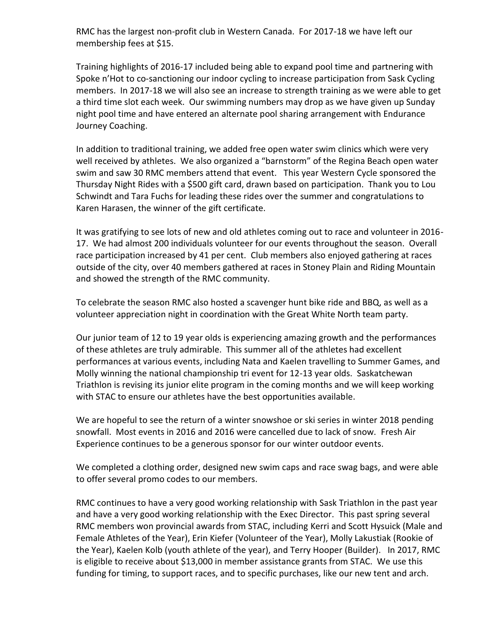RMC has the largest non-profit club in Western Canada. For 2017-18 we have left our membership fees at \$15.

Training highlights of 2016-17 included being able to expand pool time and partnering with Spoke n'Hot to co-sanctioning our indoor cycling to increase participation from Sask Cycling members. In 2017-18 we will also see an increase to strength training as we were able to get a third time slot each week. Our swimming numbers may drop as we have given up Sunday night pool time and have entered an alternate pool sharing arrangement with Endurance Journey Coaching.

In addition to traditional training, we added free open water swim clinics which were very well received by athletes. We also organized a "barnstorm" of the Regina Beach open water swim and saw 30 RMC members attend that event. This year Western Cycle sponsored the Thursday Night Rides with a \$500 gift card, drawn based on participation. Thank you to Lou Schwindt and Tara Fuchs for leading these rides over the summer and congratulations to Karen Harasen, the winner of the gift certificate.

It was gratifying to see lots of new and old athletes coming out to race and volunteer in 2016- 17. We had almost 200 individuals volunteer for our events throughout the season. Overall race participation increased by 41 per cent. Club members also enjoyed gathering at races outside of the city, over 40 members gathered at races in Stoney Plain and Riding Mountain and showed the strength of the RMC community.

To celebrate the season RMC also hosted a scavenger hunt bike ride and BBQ, as well as a volunteer appreciation night in coordination with the Great White North team party.

Our junior team of 12 to 19 year olds is experiencing amazing growth and the performances of these athletes are truly admirable. This summer all of the athletes had excellent performances at various events, including Nata and Kaelen travelling to Summer Games, and Molly winning the national championship tri event for 12-13 year olds. Saskatchewan Triathlon is revising its junior elite program in the coming months and we will keep working with STAC to ensure our athletes have the best opportunities available.

We are hopeful to see the return of a winter snowshoe or ski series in winter 2018 pending snowfall. Most events in 2016 and 2016 were cancelled due to lack of snow. Fresh Air Experience continues to be a generous sponsor for our winter outdoor events.

We completed a clothing order, designed new swim caps and race swag bags, and were able to offer several promo codes to our members.

RMC continues to have a very good working relationship with Sask Triathlon in the past year and have a very good working relationship with the Exec Director. This past spring several RMC members won provincial awards from STAC, including Kerri and Scott Hysuick (Male and Female Athletes of the Year), Erin Kiefer (Volunteer of the Year), Molly Lakustiak (Rookie of the Year), Kaelen Kolb (youth athlete of the year), and Terry Hooper (Builder). In 2017, RMC is eligible to receive about \$13,000 in member assistance grants from STAC. We use this funding for timing, to support races, and to specific purchases, like our new tent and arch.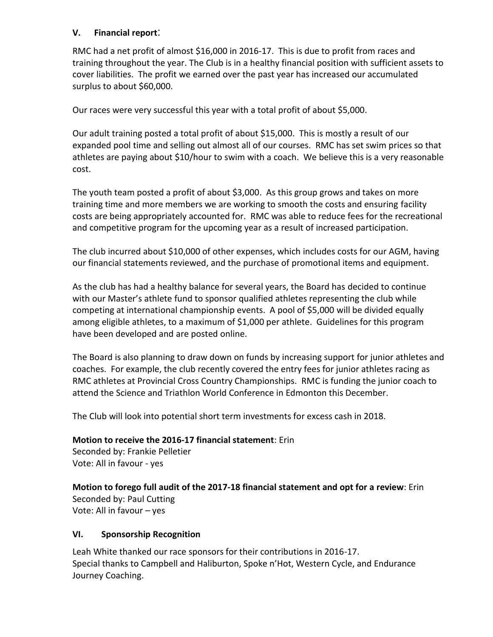# **V. Financial report**:

RMC had a net profit of almost \$16,000 in 2016-17. This is due to profit from races and training throughout the year. The Club is in a healthy financial position with sufficient assets to cover liabilities. The profit we earned over the past year has increased our accumulated surplus to about \$60,000.

Our races were very successful this year with a total profit of about \$5,000.

Our adult training posted a total profit of about \$15,000. This is mostly a result of our expanded pool time and selling out almost all of our courses. RMC has set swim prices so that athletes are paying about \$10/hour to swim with a coach. We believe this is a very reasonable cost.

The youth team posted a profit of about \$3,000. As this group grows and takes on more training time and more members we are working to smooth the costs and ensuring facility costs are being appropriately accounted for. RMC was able to reduce fees for the recreational and competitive program for the upcoming year as a result of increased participation.

The club incurred about \$10,000 of other expenses, which includes costs for our AGM, having our financial statements reviewed, and the purchase of promotional items and equipment.

As the club has had a healthy balance for several years, the Board has decided to continue with our Master's athlete fund to sponsor qualified athletes representing the club while competing at international championship events. A pool of \$5,000 will be divided equally among eligible athletes, to a maximum of \$1,000 per athlete. Guidelines for this program have been developed and are posted online.

The Board is also planning to draw down on funds by increasing support for junior athletes and coaches. For example, the club recently covered the entry fees for junior athletes racing as RMC athletes at Provincial Cross Country Championships. RMC is funding the junior coach to attend the Science and Triathlon World Conference in Edmonton this December.

The Club will look into potential short term investments for excess cash in 2018.

**Motion to receive the 2016-17 financial statement**: Erin

Seconded by: Frankie Pelletier Vote: All in favour - yes

**Motion to forego full audit of the 2017-18 financial statement and opt for a review**: Erin Seconded by: Paul Cutting Vote: All in favour – yes

# **VI. Sponsorship Recognition**

Leah White thanked our race sponsors for their contributions in 2016-17. Special thanks to Campbell and Haliburton, Spoke n'Hot, Western Cycle, and Endurance Journey Coaching.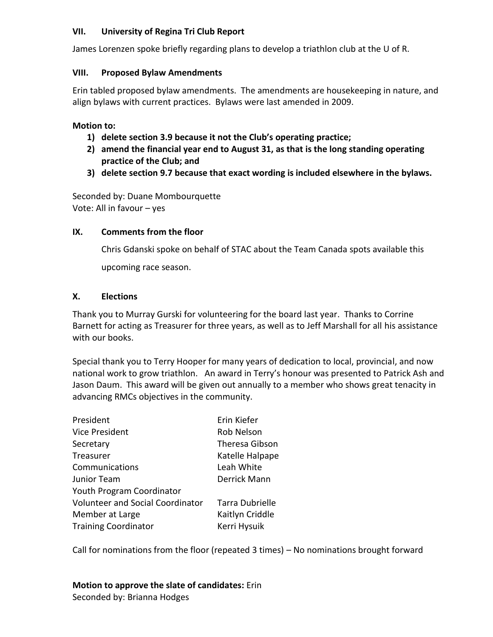### **VII. University of Regina Tri Club Report**

James Lorenzen spoke briefly regarding plans to develop a triathlon club at the U of R.

### **VIII. Proposed Bylaw Amendments**

Erin tabled proposed bylaw amendments. The amendments are housekeeping in nature, and align bylaws with current practices. Bylaws were last amended in 2009.

#### **Motion to:**

- **1) delete section 3.9 because it not the Club's operating practice;**
- **2) amend the financial year end to August 31, as that is the long standing operating practice of the Club; and**
- **3) delete section 9.7 because that exact wording is included elsewhere in the bylaws.**

Seconded by: Duane Mombourquette Vote: All in favour – yes

#### **IX. Comments from the floor**

Chris Gdanski spoke on behalf of STAC about the Team Canada spots available this upcoming race season.

#### **X. Elections**

Thank you to Murray Gurski for volunteering for the board last year. Thanks to Corrine Barnett for acting as Treasurer for three years, as well as to Jeff Marshall for all his assistance with our books.

Special thank you to Terry Hooper for many years of dedication to local, provincial, and now national work to grow triathlon. An award in Terry's honour was presented to Patrick Ash and Jason Daum. This award will be given out annually to a member who shows great tenacity in advancing RMCs objectives in the community.

| President                               | Erin Kiefer           |
|-----------------------------------------|-----------------------|
| Vice President                          | Rob Nelson            |
| Secretary                               | <b>Theresa Gibson</b> |
| Treasurer                               | Katelle Halpape       |
| Communications                          | Leah White            |
| <b>Junior Team</b>                      | Derrick Mann          |
| Youth Program Coordinator               |                       |
| <b>Volunteer and Social Coordinator</b> | Tarra Dubrielle       |
| Member at Large                         | Kaitlyn Criddle       |
| <b>Training Coordinator</b>             | Kerri Hysuik          |

Call for nominations from the floor (repeated 3 times) – No nominations brought forward

#### **Motion to approve the slate of candidates:** Erin Seconded by: Brianna Hodges